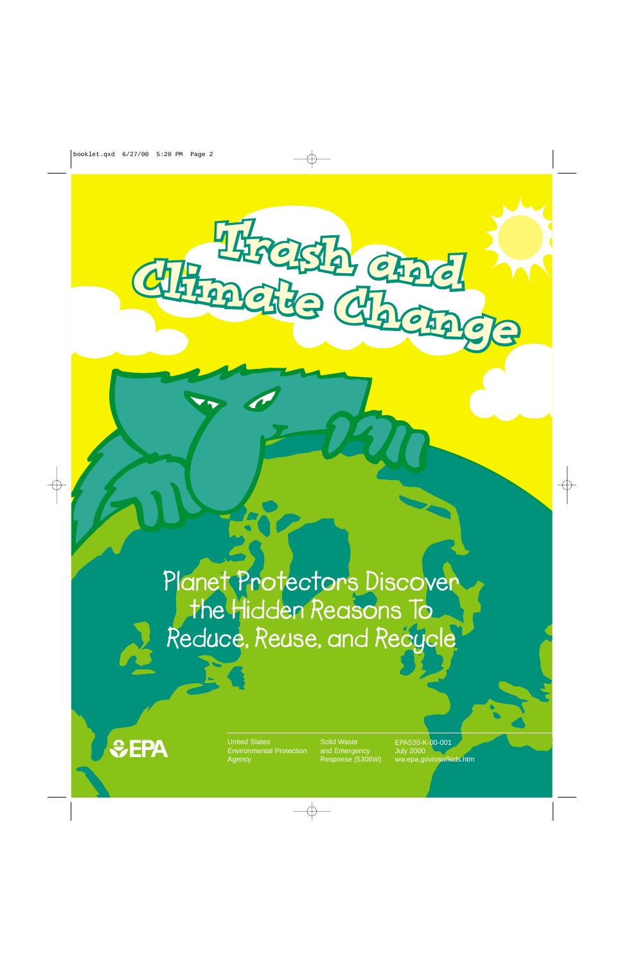**Planet Protectors Discover the Hidden Reasons To Reduce, Reuse, and Recycle**

Climatic Chadle

CLIMATES



United States **EPA** United States<br>Environmental Protection **Agency** 

Solid Waste and Emergency Response (5306W) EPA530-K-00-001 July 2000 ww.epa.gov/osw/kids.htm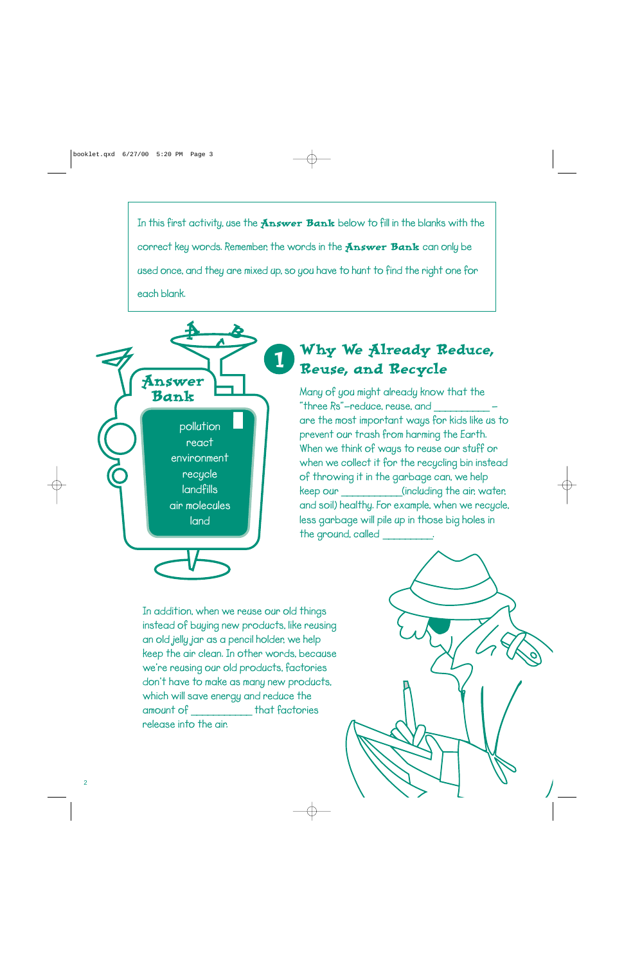**In this first activity, use the** Answer Bank **below to fill in the blanks with the correct key words. Remember, the words in the Answer Bank can only be used once, and they are mixed up, so you have to hunt to find the right one for each blank.**



## Why We Already Reduce, Reuse, and Recycle

**Many of you might already know that the "three Rs"—reduce, reuse, and** \_\_\_\_\_\_\_\_\_\_  **are the most important ways for kids like us to prevent our trash from harming the Earth. When we think of ways to reuse our stuff or when we collect it for the recycling bin instead of throwing it in the garbage can, we help keep our** \_\_\_\_\_\_\_\_\_\_\_**(including the air, water, and soil) healthy. For example, when we recycle, less garbage will pile up in those big holes in the ground, called** \_\_\_\_\_\_\_\_\_**.**

**In addition, when we reuse our old things instead of buying new products, like reusing an old jelly jar as a pencil holder, we help keep the air clean. In other words, because we're reusing our old products, factories don't have to make as many new products, which will save energy and reduce the amount of** \_\_\_\_\_\_\_\_\_\_\_ **that factories release into the air.**

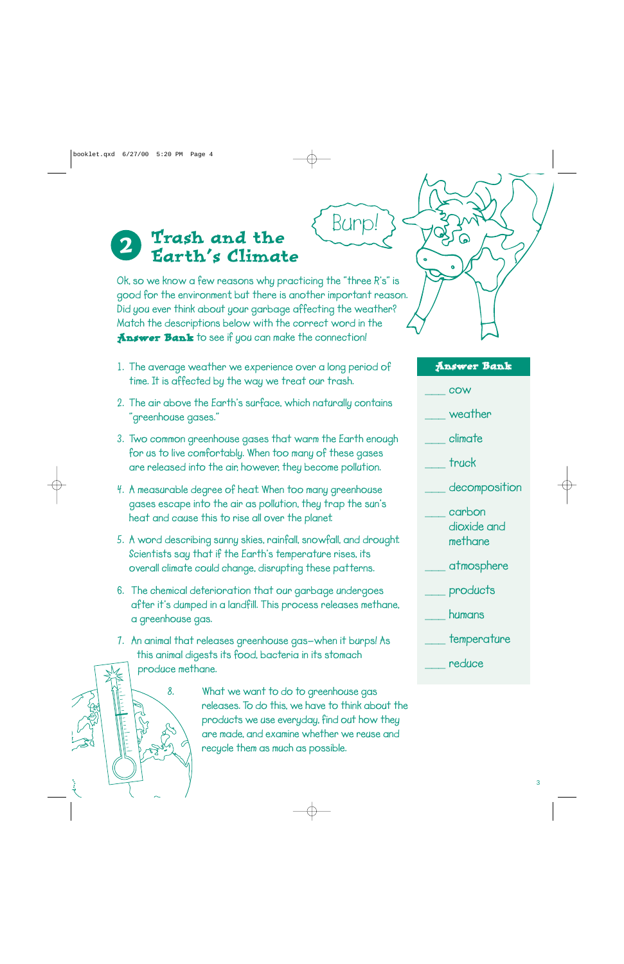#### Trash and the Earth's Climate 2

**Ok, so we know a few reasons why practicing the "three R's" is good for the environment, but there is another important reason. Did you ever think about your garbage affecting the weather? Match the descriptions below with the correct word in the** Answer Bank **to see if you can make the connection!**

Burp!

- **1. The average weather we experience over a long period of time. It is affected by the way we treat our trash.**
- **2. The air above the Earth's surface, which naturally contains "greenhouse gases."**
- **3. Two common greenhouse gases that warm the Earth enough for us to live comfortably. When too many of these gases are released into the air, however, they become pollution.**
- **4. A measurable degree of heat. When too many greenhouse gases escape into the air as pollution, they trap the sun's heat and cause this to rise all over the planet.**
- **5. A word describing sunny skies, rainfall, snowfall, and drought. Scientists say that if the Earth's temperature rises, its overall climate could change, disrupting these patterns.**
- **6. The chemical deterioration that our garbage undergoes after it's dumped in a landfill. This process releases methane, a greenhouse gas.**
- **7. An animal that releases greenhouse gas—when it burps! As this animal digests its food, bacteria in its stomach produce methane.**

**8. What we want to do to greenhouse gas releases. To do this, we have to think about the products we use everyday, find out how they are made, and examine whether we reuse and recycle them as much as possible.**



#### Answer Bank

**\_\_\_ cow**

**\_\_\_ weather**

**\_\_\_ climate**

**\_\_\_ truck**

**\_\_\_ decomposition**

**\_\_\_ carbon dioxide and methane**

**\_\_\_ atmosphere**

**\_\_\_ products**

**\_\_\_ humans**

**\_\_\_ temperature**

**\_\_\_ reduce**

3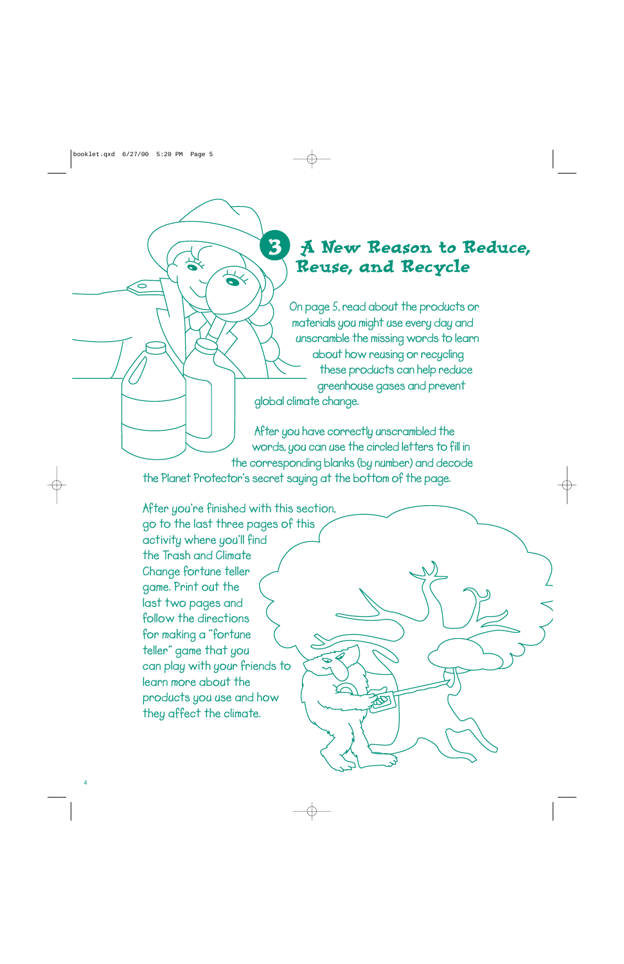# A New Reason to Reduce, Reuse, and Recycle

**On page 5, read about the products or materials you might use every day and unscramble the missing words to learn about how reusing or recycling these products can help reduce greenhouse gases and prevent global climate change.** 

**After you have correctly unscrambled the words, you can use the circled letters to fill in the corresponding blanks (by number) and decode**

**the Planet Protector's secret saying at the bottom of the page.**

3

 $\preccurlyeq$ 

**After you're finished with this section, go to the last three pages of this activity where you'll find the Trash and Climate Change fortune teller game. Print out the last two pages and follow the directions for making a "fortune teller" game that you can play with your friends to learn more about the products you use and how they affect the climate.**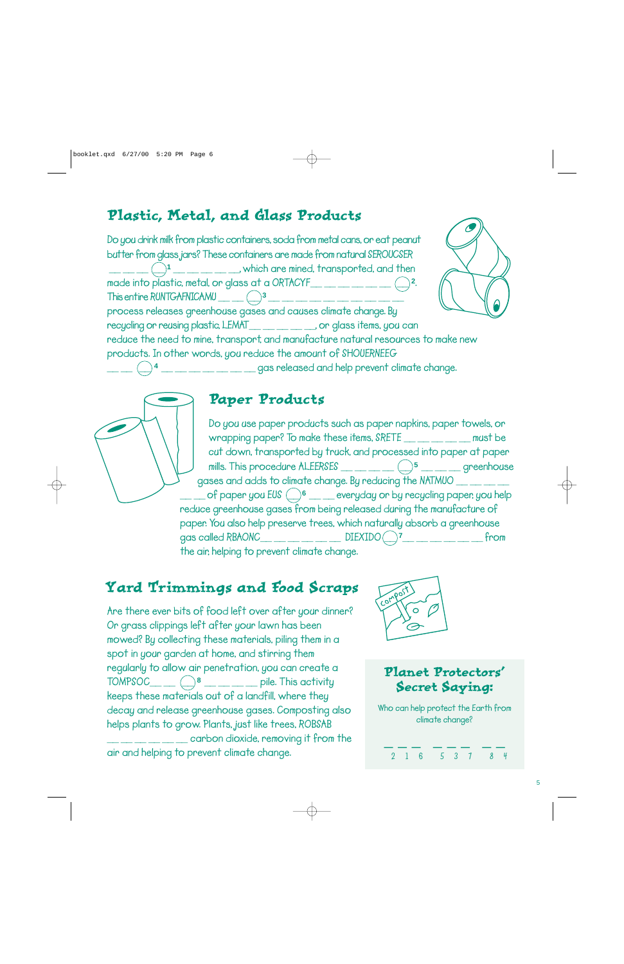## Plastic, Metal, and Glass Products

**Do you drink milk from plastic containers, soda from metal cans, or eat peanut butter from glass jars? These containers are made from natural SEROUCSER \_\_ \_\_ \_\_ \_\_ 1 \_\_ \_\_ \_\_ \_\_ \_\_, which are mined, transported, and then made into plastic, metal, or glass at a ORTACYF\_\_ \_\_ \_\_ \_\_ \_\_ \_\_ \_\_ <sup>2</sup>. This entire RUNTGAFNICAMU \_\_ \_\_ \_\_ <sup>3</sup> \_\_ \_\_ \_\_ \_\_ \_\_ \_\_ \_\_ \_\_ \_\_ \_\_ process releases greenhouse gases and causes climate change. By recycling or reusing plastic, LEMAT\_\_ \_\_ \_\_ \_\_ \_\_, or glass items, you can reduce the need to mine, transport, and manufacture natural resources to make new products. In other words, you reduce the amount of SHOUERNEEG \_\_ \_\_ \_\_ <sup>4</sup> \_\_ \_\_ \_\_ \_\_ \_\_ \_\_ \_\_ gas released and help prevent climate change.**





### Paper Products

**Do you use paper products such as paper napkins, paper towels, or wrapping paper? To make these items, SRETE \_\_ \_\_ \_\_ \_\_ \_\_ must be cut down, transported by truck, and processed into paper at paper mills. This procedure ALEERSES \_\_ \_\_ \_\_ \_\_ \_\_ <sup>5</sup> \_\_ \_\_ \_\_ greenhouse gases and adds to climate change. By reducing the NATMUO \_\_ \_\_ \_\_ \_\_**  $\circ$  **of paper you EUS**  $\circ$  **6**  $\bullet$  **every day or by recycling paper, you help reduce greenhouse gases from being released during the manufacture of paper. You also help preserve trees, which naturally absorb a greenhouse gas called RBAONC\_\_ \_\_ \_\_ \_\_ \_\_ \_\_ DIEXIDO \_\_ 7\_\_ \_\_ \_\_ \_\_ \_\_ \_\_ from the air, helping to prevent climate change.**

## Yard Trimmings and Food Scraps

**Are there ever bits of food left over after your dinner? Or grass clippings left after your lawn has been mowed? By collecting these materials, piling them in a spot in your garden at home, and stirring them regularly to allow air penetration, you can create a TOMPSOC\_\_ \_\_ \_\_ <sup>8</sup> \_\_ \_\_ \_\_ \_\_ pile. This activity keeps these materials out of a landfill, where they decay and release greenhouse gases. Composting also helps plants to grow. Plants, just like trees, ROBSAB \_\_ \_\_ \_\_ \_\_ \_\_ \_\_ carbon dioxide, removing it from the air and helping to prevent climate change.**



### Planet Protectors' Secret Saying:

**Who can help protect the Earth from climate change?**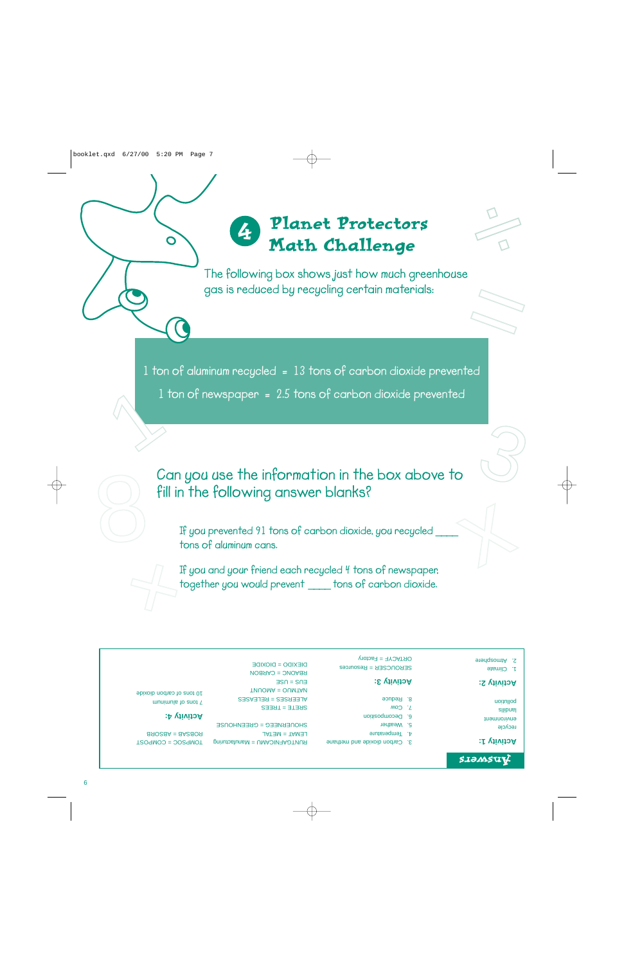### Planet Protectors Math Challenge 4



**W** 

**The following box shows just how much greenhouse gas is reduced by recycling certain materials:**

**1 ton of aluminum recycled = 13 tons of carbon dioxide prevented**

**1 ton of newspaper = 2.5 tons of carbon dioxide prevented**  1

> **Can you use the information in the box above to fill in the following answer blanks?**

**If you prevented 91 tons of carbon dioxide, you recycled** \_\_\_\_ **tons of aluminum cans.**

**If you and your friend each recycled 4 tons of newspaper, together you would prevent** \_\_\_\_ **tons of carbon dioxide.**   $\sum_{i=1}^{n}$ 

#### 2. Atmosphere

 $\frac{1}{\sqrt{2}}$ 

3

1. Climate

#### **Activity 2:**

recycle environment sllibnal uounllod

**Activity 1:**

SJOMSUV

SEROUCSER = Resources ORTACYF = Factory

#### **Activity 3:**

8. Reduce

7. Cow

- 6. Decomposition
	- 5. Weather
- 4. Temperature
- 3. Carbon dioxide and methane

SRETE = TREES ALEERSES = RELEASES TNUOMA = OUMTAN  $B = S<sub>0</sub>$ RBAONC = CARBON DIEXIDO = DIOXIDE

RUNTGAFNICAMU = Manufacturing LEMAT = METAL SHONEBNEEG = GBEENHONSE

**2** tons of aluminum 10 tons of carbon dioxide

#### **Activity 4:**

TOMPSOC = COMPOST ROBSAB = ABSORB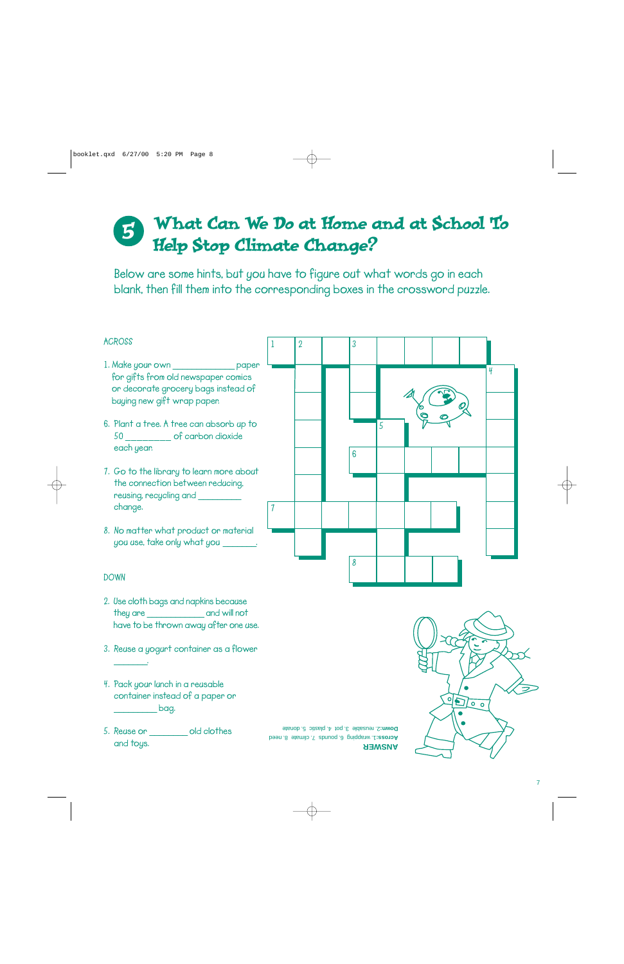### What Can We Do at Home and at School To Help Stop Climate Change? 5

**Below are some hints, but you have to figure out what words go in each blank, then fill them into the corresponding boxes in the crossword puzzle.** 



- **2. Use cloth bags and napkins because they are** \_\_\_\_\_\_\_\_\_\_\_\_ **and will not have to be thrown away after one use.**
- **3. Reuse a yogurt container as a flower**
- **4. Pack your lunch in a reusable container instead of a paper or** \_\_\_\_\_\_\_\_\_ **bag.**

\_\_\_\_\_\_\_**.**

**5. Reuse or** \_\_\_\_\_\_\_\_ **old clothes and toys.**

**ANSWER** 1. wrapping 6. pounds 7. climate 8. need **Across:** 2. reusable 3. pot 4. plastic 5. donate **Down:**

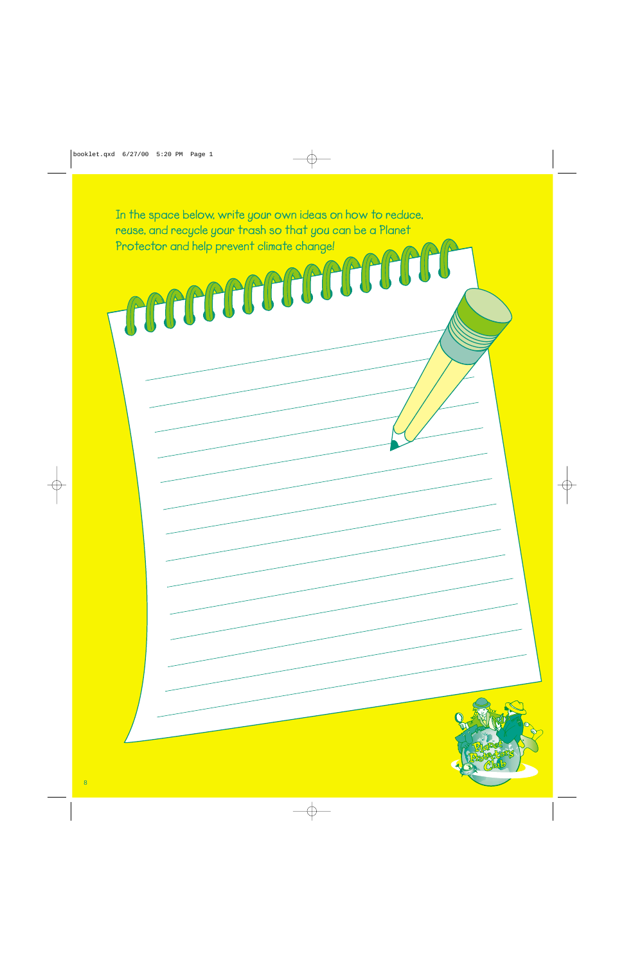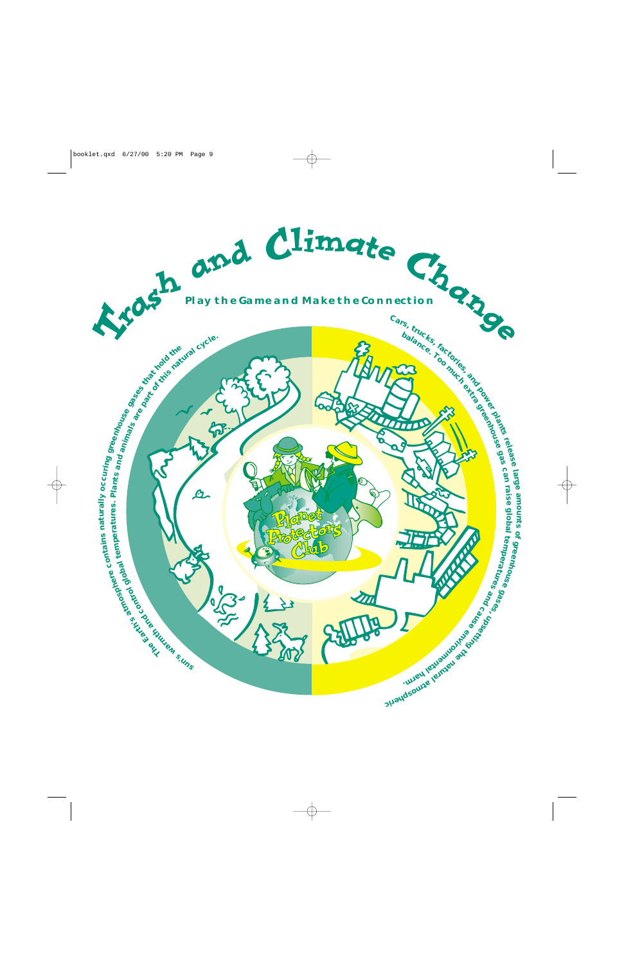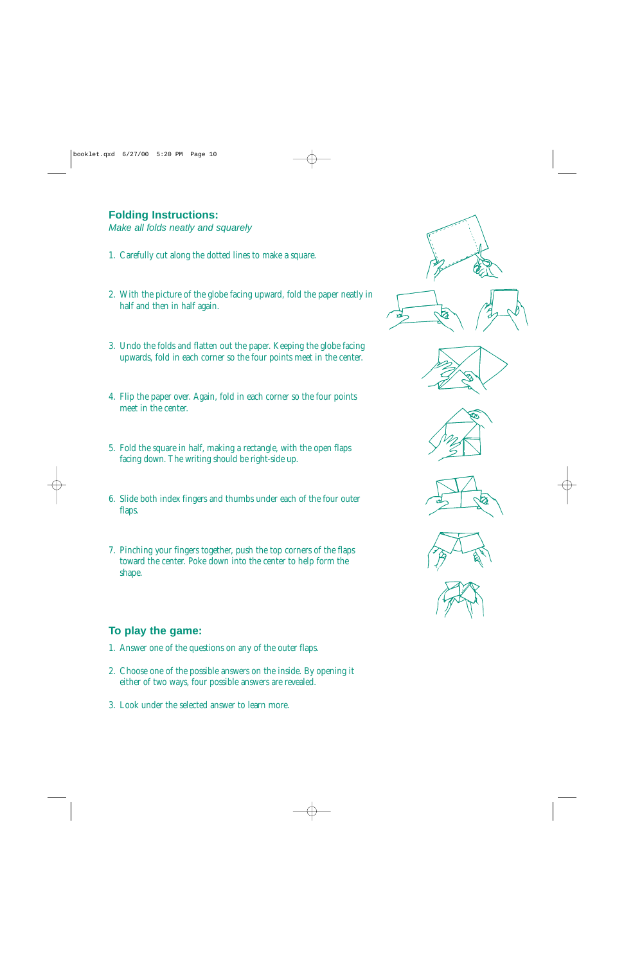#### **Folding Instructions:**

Make all folds neatly and squarely

- 1. Carefully cut along the dotted lines to make a square.
- 2. With the picture of the globe facing upward, fold the paper neatly in half and then in half again.
- 3. Undo the folds and flatten out the paper. Keeping the globe facing upwards, fold in each corner so the four points meet in the center.
- 4. Flip the paper over. Again, fold in each corner so the four points meet in the center.
- 5. Fold the square in half, making a rectangle, with the open flaps facing down. The writing should be right-side up.
- 6. Slide both index fingers and thumbs under each of the four outer flaps.
- 7. Pinching your fingers together, push the top corners of the flaps toward the center. Poke down into the center to help form the shape.

### **To play the game:**

- 1. Answer one of the questions on any of the outer flaps.
- 2. Choose one of the possible answers on the inside. By opening it either of two ways, four possible answers are revealed.
- 3. Look under the selected answer to learn more.